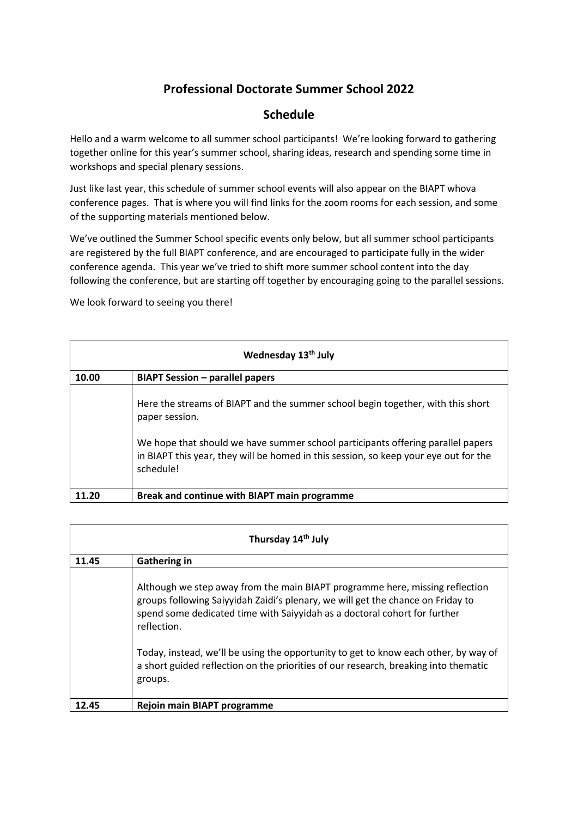## **Professional Doctorate Summer School 2022**

## **Schedule**

Hello and a warm welcome to all summer school participants! We're looking forward to gathering together online for this year's summer school, sharing ideas, research and spending some time in workshops and special plenary sessions.

Just like last year, this schedule of summer school events will also appear on the BIAPT whova conference pages. That is where you will find links for the zoom rooms for each session, and some of the supporting materials mentioned below.

We've outlined the Summer School specific events only below, but all summer school participants are registered by the full BIAPT conference, and are encouraged to participate fully in the wider conference agenda. This year we've tried to shift more summer school content into the day following the conference, but are starting off together by encouraging going to the parallel sessions.

We look forward to seeing you there!

| Wednesday 13th July |                                                                                                                                                                                                                                                                                           |  |  |  |  |
|---------------------|-------------------------------------------------------------------------------------------------------------------------------------------------------------------------------------------------------------------------------------------------------------------------------------------|--|--|--|--|
| 10.00               | <b>BIAPT Session – parallel papers</b>                                                                                                                                                                                                                                                    |  |  |  |  |
|                     | Here the streams of BIAPT and the summer school begin together, with this short<br>paper session.<br>We hope that should we have summer school participants offering parallel papers<br>in BIAPT this year, they will be homed in this session, so keep your eye out for the<br>schedule! |  |  |  |  |
|                     | Break and continue with BIAPT main programme                                                                                                                                                                                                                                              |  |  |  |  |

| Thursday 14 <sup>th</sup> July |                                                                                                                                                                                                                                                             |  |  |  |
|--------------------------------|-------------------------------------------------------------------------------------------------------------------------------------------------------------------------------------------------------------------------------------------------------------|--|--|--|
| 11.45                          | <b>Gathering in</b>                                                                                                                                                                                                                                         |  |  |  |
|                                | Although we step away from the main BIAPT programme here, missing reflection<br>groups following Saiyyidah Zaidi's plenary, we will get the chance on Friday to<br>spend some dedicated time with Saiyyidah as a doctoral cohort for further<br>reflection. |  |  |  |
|                                | Today, instead, we'll be using the opportunity to get to know each other, by way of<br>a short guided reflection on the priorities of our research, breaking into thematic<br>groups.                                                                       |  |  |  |
| 12.45                          | Rejoin main BIAPT programme                                                                                                                                                                                                                                 |  |  |  |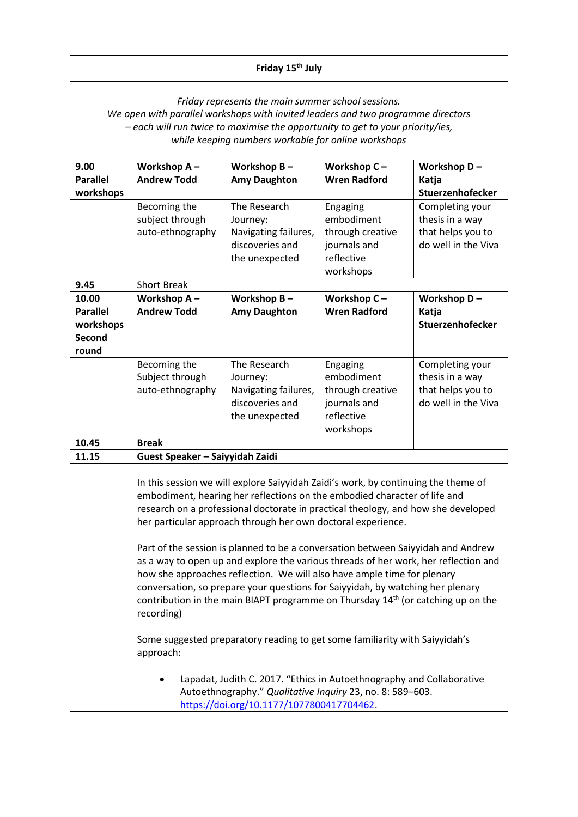## **Friday 15th July**

*Friday represents the main summer school sessions.* 

*We open with parallel workshops with invited leaders and two programme directors – each will run twice to maximise the opportunity to get to your priority/ies, while keeping numbers workable for online workshops*

| 9.00                                                                                                                                                                            | Workshop A-                                                                                                                                                                                                                                                                                                                                                                                                                                                                                                                                                                                             | Workshop B-          | Workshop C-         | Workshop D-         |  |  |
|---------------------------------------------------------------------------------------------------------------------------------------------------------------------------------|---------------------------------------------------------------------------------------------------------------------------------------------------------------------------------------------------------------------------------------------------------------------------------------------------------------------------------------------------------------------------------------------------------------------------------------------------------------------------------------------------------------------------------------------------------------------------------------------------------|----------------------|---------------------|---------------------|--|--|
|                                                                                                                                                                                 |                                                                                                                                                                                                                                                                                                                                                                                                                                                                                                                                                                                                         |                      |                     |                     |  |  |
| <b>Parallel</b>                                                                                                                                                                 | <b>Andrew Todd</b>                                                                                                                                                                                                                                                                                                                                                                                                                                                                                                                                                                                      | <b>Amy Daughton</b>  | <b>Wren Radford</b> | Katja               |  |  |
| workshops                                                                                                                                                                       |                                                                                                                                                                                                                                                                                                                                                                                                                                                                                                                                                                                                         |                      |                     | Stuerzenhofecker    |  |  |
|                                                                                                                                                                                 | Becoming the                                                                                                                                                                                                                                                                                                                                                                                                                                                                                                                                                                                            | The Research         | Engaging            | Completing your     |  |  |
|                                                                                                                                                                                 | subject through                                                                                                                                                                                                                                                                                                                                                                                                                                                                                                                                                                                         | Journey:             | embodiment          | thesis in a way     |  |  |
|                                                                                                                                                                                 | auto-ethnography                                                                                                                                                                                                                                                                                                                                                                                                                                                                                                                                                                                        | Navigating failures, | through creative    | that helps you to   |  |  |
|                                                                                                                                                                                 |                                                                                                                                                                                                                                                                                                                                                                                                                                                                                                                                                                                                         | discoveries and      | journals and        | do well in the Viva |  |  |
|                                                                                                                                                                                 |                                                                                                                                                                                                                                                                                                                                                                                                                                                                                                                                                                                                         | the unexpected       | reflective          |                     |  |  |
|                                                                                                                                                                                 |                                                                                                                                                                                                                                                                                                                                                                                                                                                                                                                                                                                                         |                      | workshops           |                     |  |  |
| 9.45                                                                                                                                                                            | <b>Short Break</b>                                                                                                                                                                                                                                                                                                                                                                                                                                                                                                                                                                                      |                      |                     |                     |  |  |
| 10.00                                                                                                                                                                           | Workshop A-                                                                                                                                                                                                                                                                                                                                                                                                                                                                                                                                                                                             | Workshop B-          | Workshop C-         | Workshop D-         |  |  |
| <b>Parallel</b>                                                                                                                                                                 | <b>Andrew Todd</b>                                                                                                                                                                                                                                                                                                                                                                                                                                                                                                                                                                                      | <b>Amy Daughton</b>  | <b>Wren Radford</b> | Katja               |  |  |
| workshops                                                                                                                                                                       |                                                                                                                                                                                                                                                                                                                                                                                                                                                                                                                                                                                                         |                      |                     | Stuerzenhofecker    |  |  |
| <b>Second</b>                                                                                                                                                                   |                                                                                                                                                                                                                                                                                                                                                                                                                                                                                                                                                                                                         |                      |                     |                     |  |  |
| round                                                                                                                                                                           |                                                                                                                                                                                                                                                                                                                                                                                                                                                                                                                                                                                                         |                      |                     |                     |  |  |
|                                                                                                                                                                                 | Becoming the                                                                                                                                                                                                                                                                                                                                                                                                                                                                                                                                                                                            | The Research         | Engaging            | Completing your     |  |  |
|                                                                                                                                                                                 | Subject through                                                                                                                                                                                                                                                                                                                                                                                                                                                                                                                                                                                         | Journey:             | embodiment          | thesis in a way     |  |  |
|                                                                                                                                                                                 | auto-ethnography                                                                                                                                                                                                                                                                                                                                                                                                                                                                                                                                                                                        | Navigating failures, | through creative    | that helps you to   |  |  |
|                                                                                                                                                                                 |                                                                                                                                                                                                                                                                                                                                                                                                                                                                                                                                                                                                         | discoveries and      | journals and        | do well in the Viva |  |  |
|                                                                                                                                                                                 |                                                                                                                                                                                                                                                                                                                                                                                                                                                                                                                                                                                                         | the unexpected       | reflective          |                     |  |  |
|                                                                                                                                                                                 |                                                                                                                                                                                                                                                                                                                                                                                                                                                                                                                                                                                                         |                      | workshops           |                     |  |  |
| 10.45                                                                                                                                                                           | <b>Break</b>                                                                                                                                                                                                                                                                                                                                                                                                                                                                                                                                                                                            |                      |                     |                     |  |  |
| 11.15                                                                                                                                                                           |                                                                                                                                                                                                                                                                                                                                                                                                                                                                                                                                                                                                         |                      |                     |                     |  |  |
|                                                                                                                                                                                 | Guest Speaker - Saiyyidah Zaidi<br>In this session we will explore Saiyyidah Zaidi's work, by continuing the theme of<br>embodiment, hearing her reflections on the embodied character of life and                                                                                                                                                                                                                                                                                                                                                                                                      |                      |                     |                     |  |  |
|                                                                                                                                                                                 |                                                                                                                                                                                                                                                                                                                                                                                                                                                                                                                                                                                                         |                      |                     |                     |  |  |
|                                                                                                                                                                                 | research on a professional doctorate in practical theology, and how she developed<br>her particular approach through her own doctoral experience.<br>Part of the session is planned to be a conversation between Saiyyidah and Andrew<br>as a way to open up and explore the various threads of her work, her reflection and<br>how she approaches reflection. We will also have ample time for plenary<br>conversation, so prepare your questions for Saiyyidah, by watching her plenary<br>contribution in the main BIAPT programme on Thursday 14 <sup>th</sup> (or catching up on the<br>recording) |                      |                     |                     |  |  |
|                                                                                                                                                                                 |                                                                                                                                                                                                                                                                                                                                                                                                                                                                                                                                                                                                         |                      |                     |                     |  |  |
|                                                                                                                                                                                 | Some suggested preparatory reading to get some familiarity with Saiyyidah's<br>approach:                                                                                                                                                                                                                                                                                                                                                                                                                                                                                                                |                      |                     |                     |  |  |
| Lapadat, Judith C. 2017. "Ethics in Autoethnography and Collaborative<br>Autoethnography." Qualitative Inquiry 23, no. 8: 589-603.<br>https://doi.org/10.1177/1077800417704462. |                                                                                                                                                                                                                                                                                                                                                                                                                                                                                                                                                                                                         |                      |                     |                     |  |  |